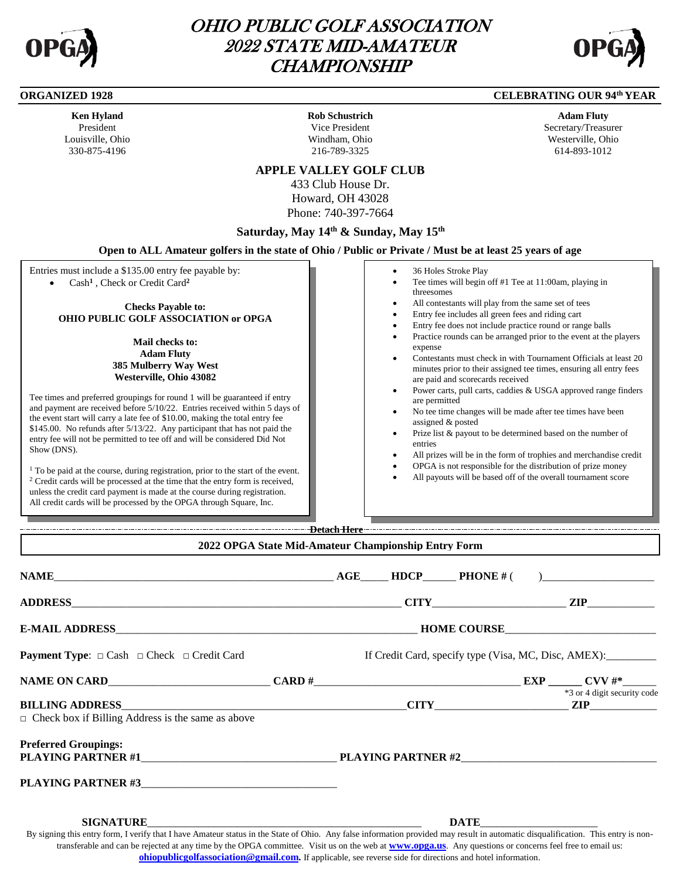

I

l

# OHIO PUBLIC GOLF ASSOCIATION 2022 STATE MID-AMATEUR **CHAMPIONSHIP**



#### **ORGANIZED 1928 CELEBRATING OUR 94<sup>th</sup> YEAR**

| <b>Ken Hyland</b> |
|-------------------|
| President         |
| Louisville. Ohio  |
| 330-875-4196      |

**Rob Schustrich** Vice President Windham, Ohio 216-789-3325

**Adam Fluty** Secretary/Treasurer Westerville, Ohio 614-893-1012

### **APPLE VALLEY GOLF CLUB**

433 Club House Dr. Howard, OH 43028 Phone: 740-397-7664

# **Saturday, May 14th & Sunday, May 15th**

#### **Open to ALL Amateur golfers in the state of Ohio / Public or Private / Must be at least 25 years of age**

Entries must include a \$135.00 entry fee payable by: Cash**<sup>1</sup>** , Check or Credit Card**<sup>2</sup>**

**Checks Payable to: OHIO PUBLIC GOLF ASSOCIATION or OPGA**

> **Mail checks to: Adam Fluty 385 Mulberry Way West Westerville, Ohio 43082**

Tee times and preferred groupings for round 1 will be guaranteed if entry and payment are received before 5/10/22. Entries received within 5 days of the event start will carry a late fee of \$10.00, making the total entry fee \$145.00. No refunds after 5/13/22. Any participant that has not paid the entry fee will not be permitted to tee off and will be considered Did Not Show (DNS).

<sup>1</sup> To be paid at the course, during registration, prior to the start of the event. <sup>2</sup> Credit cards will be processed at the time that the entry form is received, unless the credit card payment is made at the course during registration. All credit cards will be processed by the OPGA through Square, Inc.

- 36 Holes Stroke Play
- Tee times will begin off #1 Tee at 11:00am, playing in threesomes
- All contestants will play from the same set of tees
- Entry fee includes all green fees and riding cart
- Entry fee does not include practice round or range balls
- Practice rounds can be arranged prior to the event at the players expense
- Contestants must check in with Tournament Officials at least 20 minutes prior to their assigned tee times, ensuring all entry fees are paid and scorecards received
- Power carts, pull carts, caddies & USGA approved range finders are permitted
- No tee time changes will be made after tee times have been assigned & posted
- Prize list & payout to be determined based on the number of entries
- All prizes will be in the form of trophies and merchandise credit
- OPGA is not responsible for the distribution of prize money
- All payouts will be based off of the overall tournament score

**Detach Here 2022 OPGA State Mid-Amateur Championship Entry Form** 

| <b>Payment Type:</b> $\Box$ Cash $\Box$ Check $\Box$ Credit Card                                                                                                                |  |  |  |  | If Credit Card, specify type (Visa, MC, Disc, AMEX): |
|---------------------------------------------------------------------------------------------------------------------------------------------------------------------------------|--|--|--|--|------------------------------------------------------|
|                                                                                                                                                                                 |  |  |  |  |                                                      |
|                                                                                                                                                                                 |  |  |  |  | *3 or 4 digit security code                          |
| $\Box$ Check box if Billing Address is the same as above                                                                                                                        |  |  |  |  |                                                      |
| <b>Preferred Groupings:</b><br>PLAYING PARTNER #1 PLAYING PARTNER #2                                                                                                            |  |  |  |  |                                                      |
| PLAYING PARTNER #3                                                                                                                                                              |  |  |  |  |                                                      |
|                                                                                                                                                                                 |  |  |  |  | DATE                                                 |
| By signing this entry form I verify that I have Amateur status in the State of Ohio Any false information provided may result in automatic disqualification. This entry is non- |  |  |  |  |                                                      |

By signing this entry form, I verify that I have Amateur status in the State of Ohio. Any false information provided may result in automatic disqualification. This entry is nontransferable and can be rejected at any time by the OPGA committee. Visit us on the web at **[www.opga.us](http://www.opga.us/)**. Any questions or concerns feel free to email us: **[ohiopublicgolfassociation@gmail.com.](mailto:ohiopublicgolfassociation@gmail.com)** If applicable, see reverse side for directions and hotel information.